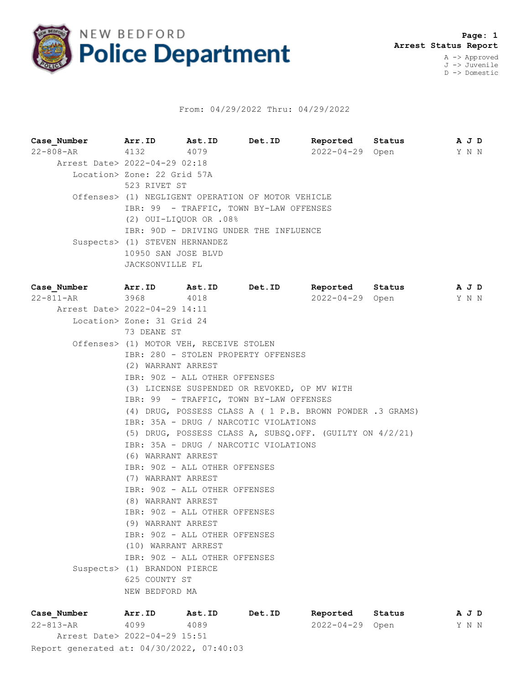

## From: 04/29/2022 Thru: 04/29/2022

**Case\_Number Arr.ID Ast.ID Det.ID Reported Status A J D** 22-808-AR 4132 4079 2022-04-29 Open Y N N Arrest Date> 2022-04-29 02:18 Location> Zone: 22 Grid 57A 523 RIVET ST Offenses> (1) NEGLIGENT OPERATION OF MOTOR VEHICLE IBR: 99 - TRAFFIC, TOWN BY-LAW OFFENSES (2) OUI-LIQUOR OR .08% IBR: 90D - DRIVING UNDER THE INFLUENCE Suspects> (1) STEVEN HERNANDEZ 10950 SAN JOSE BLVD JACKSONVILLE FL **Case\_Number Arr.ID Ast.ID Det.ID Reported Status A J D** 22-811-AR 3968 4018 2022-04-29 Open Y N N Arrest Date> 2022-04-29 14:11 Location> Zone: 31 Grid 24 73 DEANE ST Offenses> (1) MOTOR VEH, RECEIVE STOLEN IBR: 280 - STOLEN PROPERTY OFFENSES (2) WARRANT ARREST IBR: 90Z - ALL OTHER OFFENSES (3) LICENSE SUSPENDED OR REVOKED, OP MV WITH IBR: 99 - TRAFFIC, TOWN BY-LAW OFFENSES (4) DRUG, POSSESS CLASS A ( 1 P.B. BROWN POWDER .3 GRAMS) IBR: 35A - DRUG / NARCOTIC VIOLATIONS (5) DRUG, POSSESS CLASS A, SUBSQ.OFF. (GUILTY ON 4/2/21) IBR: 35A - DRUG / NARCOTIC VIOLATIONS (6) WARRANT ARREST IBR: 90Z - ALL OTHER OFFENSES (7) WARRANT ARREST IBR: 90Z - ALL OTHER OFFENSES (8) WARRANT ARREST IBR: 90Z - ALL OTHER OFFENSES (9) WARRANT ARREST IBR: 90Z - ALL OTHER OFFENSES (10) WARRANT ARREST IBR: 90Z - ALL OTHER OFFENSES Suspects> (1) BRANDON PIERCE 625 COUNTY ST NEW BEDFORD MA

Report generated at: 04/30/2022, 07:40:03 **Case\_Number Arr.ID Ast.ID Det.ID Reported Status A J D** 22-813-AR 4099 4089 2022-04-29 Open Y N N Arrest Date> 2022-04-29 15:51